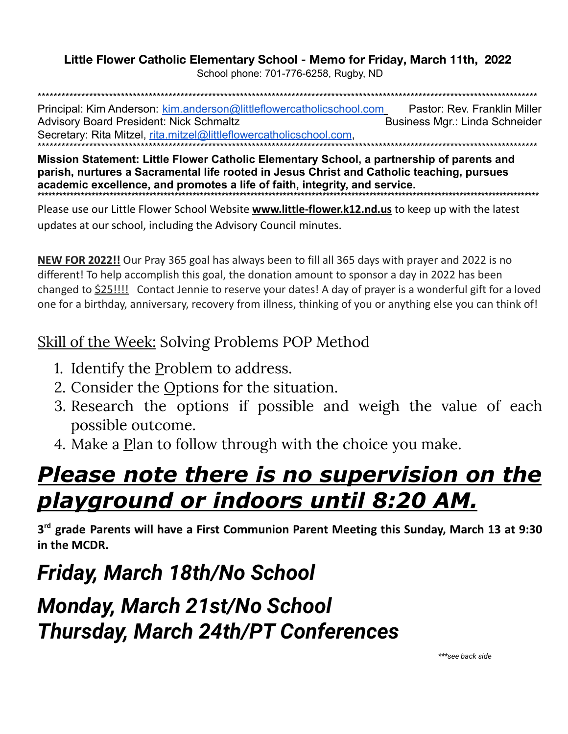#### Little Flower Catholic Elementary School - Memo for Friday, March 11th, 2022

School phone: 701-776-6258, Rugby, ND

Principal: Kim Anderson: kim.anderson@littleflowercatholicschool.com Pastor: Rev. Franklin Miller **Advisory Board President: Nick Schmaltz** Business Mgr.: Linda Schneider Secretary: Rita Mitzel, rita.mitzel@littleflowercatholicschool.com.

Mission Statement: Little Flower Catholic Elementary School, a partnership of parents and parish, nurtures a Sacramental life rooted in Jesus Christ and Catholic teaching, pursues academic excellence, and promotes a life of faith, integrity, and service.

Please use our Little Flower School Website **www.little-flower.k12.nd.us** to keep up with the latest updates at our school, including the Advisory Council minutes.

NEW FOR 2022!! Our Pray 365 goal has always been to fill all 365 days with prayer and 2022 is no different! To help accomplish this goal, the donation amount to sponsor a day in 2022 has been changed to **\$25!!!!** Contact Jennie to reserve your dates! A day of prayer is a wonderful gift for a loved one for a birthday, anniversary, recovery from illness, thinking of you or anything else you can think of!

#### **Skill of the Week: Solving Problems POP Method**

- 1. Identify the Problem to address.
- 2. Consider the Options for the situation.
- 3. Research the options if possible and weigh the value of each possible outcome.
- 4. Make a Plan to follow through with the choice you make.

# <u>Please note there is no supervision on the </u> <u>playground or indoors until 8:20 AM.</u>

3<sup>rd</sup> grade Parents will have a First Communion Parent Meeting this Sunday, March 13 at 9:30 in the MCDR.

# Friday, March 18th/No School

### **Monday, March 21st/No School Thursday, March 24th/PT Conferences**

\*\*\*see back side